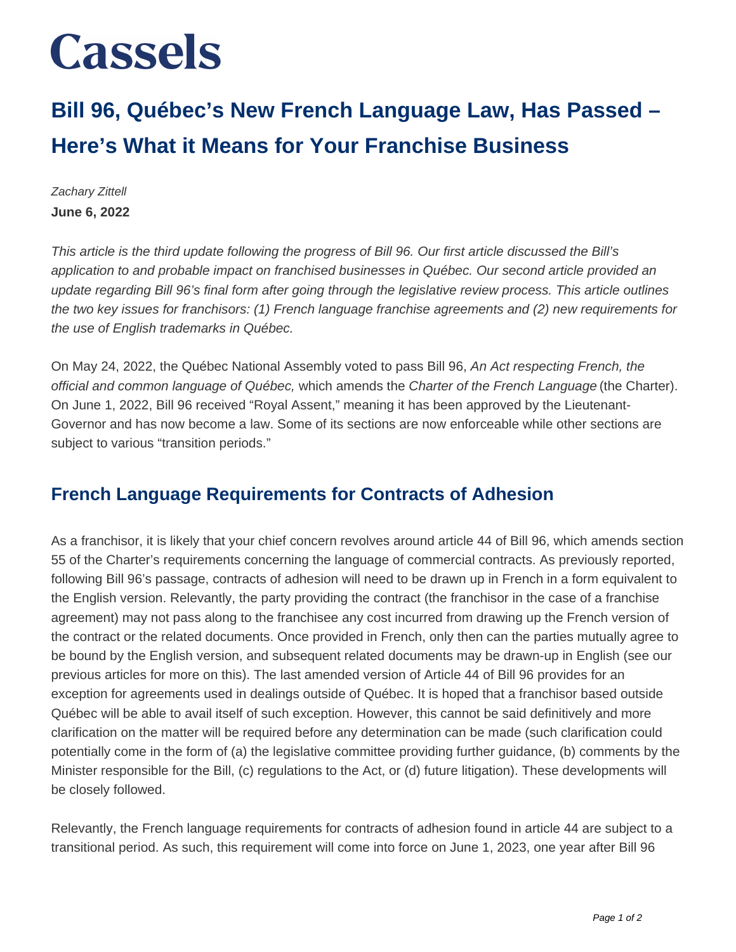# **Cassels**

## **Bill 96, Québec's New French Language Law, Has Passed – Here's What it Means for Your Franchise Business**

Zachary Zittell **June 6, 2022**

This article is the third update following the progress of Bill 96. Our first article discussed the Bill's application to and probable impact on franchised businesses in Québec. Our second article provided an update regarding Bill 96's final form after going through the legislative review process. This article outlines the two key issues for franchisors: (1) French language franchise agreements and (2) new requirements for the use of English trademarks in Québec.

On May 24, 2022, the Québec National Assembly voted to pass Bill 96, An Act respecting French, the official and common language of Québec, which amends the Charter of the French Language (the Charter). On June 1, 2022, Bill 96 received "Royal Assent," meaning it has been approved by the Lieutenant-Governor and has now become a law. Some of its sections are now enforceable while other sections are subject to various "transition periods."

#### **French Language Requirements for Contracts of Adhesion**

As a franchisor, it is likely that your chief concern revolves around article 44 of Bill 96, which amends section 55 of the Charter's requirements concerning the language of commercial contracts. As previously reported, following Bill 96's passage, contracts of adhesion will need to be drawn up in French in a form equivalent to the English version. Relevantly, the party providing the contract (the franchisor in the case of a franchise agreement) may not pass along to the franchisee any cost incurred from drawing up the French version of the contract or the related documents. Once provided in French, only then can the parties mutually agree to be bound by the English version, and subsequent related documents may be drawn-up in English (see our previous articles for more on this). The last amended version of Article 44 of Bill 96 provides for an exception for agreements used in dealings outside of Québec. It is hoped that a franchisor based outside Québec will be able to avail itself of such exception. However, this cannot be said definitively and more clarification on the matter will be required before any determination can be made (such clarification could potentially come in the form of (a) the legislative committee providing further guidance, (b) comments by the Minister responsible for the Bill, (c) regulations to the Act, or (d) future litigation). These developments will be closely followed.

Relevantly, the French language requirements for contracts of adhesion found in article 44 are subject to a transitional period. As such, this requirement will come into force on June 1, 2023, one year after Bill 96